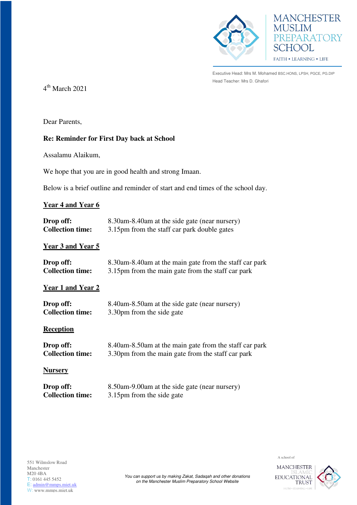



Executive Head: Mrs M. Mohamed BSC.HONS, LPSH, PGCE, PG.DIP Head Teacher: Mrs D. Ghafori

4 th March 2021

Dear Parents,

# **Re: Reminder for First Day back at School**

Assalamu Alaikum,

We hope that you are in good health and strong Imaan.

Below is a brief outline and reminder of start and end times of the school day.

### **Year 4 and Year 6**

| Drop off:               | 8.30am-8.40am at the side gate (near nursery) |
|-------------------------|-----------------------------------------------|
| <b>Collection time:</b> | 3.15pm from the staff car park double gates   |

# **Year 3 and Year 5**

| Drop off:               | 8.30am-8.40am at the main gate from the staff car park |
|-------------------------|--------------------------------------------------------|
| <b>Collection time:</b> | 3.15pm from the main gate from the staff car park      |

# **Year 1 and Year 2**

| Drop off:               | 8.40am-8.50am at the side gate (near nursery) |
|-------------------------|-----------------------------------------------|
| <b>Collection time:</b> | 3.30pm from the side gate                     |

### **Reception**

| Drop off:               | 8.40am-8.50am at the main gate from the staff car park |
|-------------------------|--------------------------------------------------------|
| <b>Collection time:</b> | 3.30pm from the main gate from the staff car park      |

### **Nursery**

| Drop off:               | 8.50am-9.00am at the side gate (near nursery) |
|-------------------------|-----------------------------------------------|
| <b>Collection time:</b> | 3.15pm from the side gate                     |